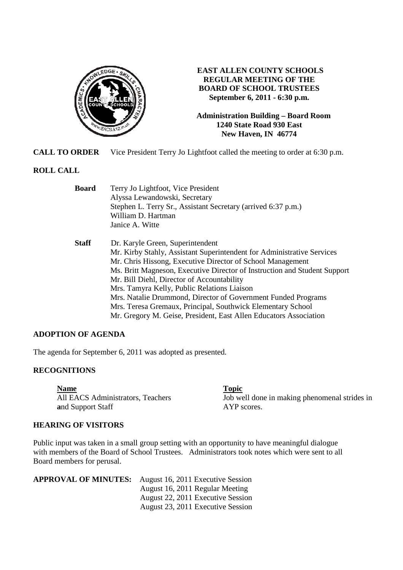

**EAST ALLEN COUNTY SCHOOLS REGULAR MEETING OF THE BOARD OF SCHOOL TRUSTEES September 6, 2011 - 6:30 p.m.** 

**Administration Building – Board Room 1240 State Road 930 East New Haven, IN 46774**

**CALL TO ORDER** Vice President Terry Jo Lightfoot called the meeting to order at 6:30 p.m.

#### **ROLL CALL**

| Terry Jo Lightfoot, Vice President                                        |
|---------------------------------------------------------------------------|
| Alyssa Lewandowski, Secretary                                             |
| Stephen L. Terry Sr., Assistant Secretary (arrived 6:37 p.m.)             |
| William D. Hartman                                                        |
| Janice A. Witte                                                           |
| Dr. Karyle Green, Superintendent                                          |
| Mr. Kirby Stahly, Assistant Superintendent for Administrative Services    |
| Mr. Chris Hissong, Executive Director of School Management                |
| Ms. Britt Magneson, Executive Director of Instruction and Student Support |
| Mr. Bill Diehl, Director of Accountability                                |
| Mrs. Tamyra Kelly, Public Relations Liaison                               |
| Mrs. Natalie Drummond, Director of Government Funded Programs             |
| Mrs. Teresa Gremaux, Principal, Southwick Elementary School               |
| Mr. Gregory M. Geise, President, East Allen Educators Association         |
|                                                                           |

# **ADOPTION OF AGENDA**

The agenda for September 6, 2011 was adopted as presented.

# **RECOGNITIONS**

**Name**<br>
All EACS Administrators, Teachers **EXECS and Support Staff** AYP scores.

Job well done in making phenomenal strides in

#### **HEARING OF VISITORS**

Public input was taken in a small group setting with an opportunity to have meaningful dialogue with members of the Board of School Trustees. Administrators took notes which were sent to all Board members for perusal.

| <b>APPROVAL OF MINUTES:</b> | August 16, 2011 Executive Session |
|-----------------------------|-----------------------------------|
|                             | August 16, 2011 Regular Meeting   |
|                             | August 22, 2011 Executive Session |
|                             | August 23, 2011 Executive Session |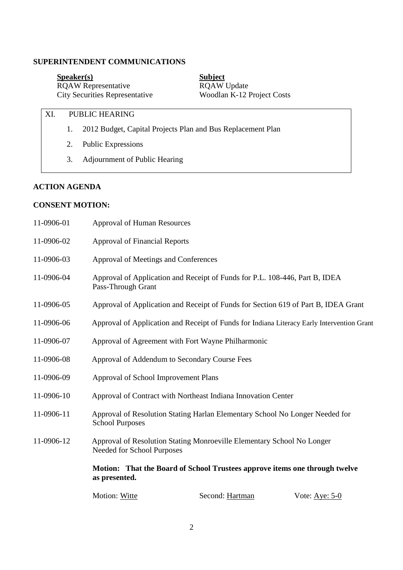# **SUPERINTENDENT COMMUNICATIONS**

**Speaker(s)** Subject RQAW Representative RQAW Update City Securities Representative Woodlan K-12 Project Costs

# XI. PUBLIC HEARING

- 1. 2012 Budget, Capital Projects Plan and Bus Replacement Plan
- 2. Public Expressions
- 3. Adjournment of Public Hearing

# **ACTION AGENDA**

# **CONSENT MOTION:**

| 11-0906-01 | <b>Approval of Human Resources</b>                                                                |                                                                                    |                  |
|------------|---------------------------------------------------------------------------------------------------|------------------------------------------------------------------------------------|------------------|
| 11-0906-02 | <b>Approval of Financial Reports</b>                                                              |                                                                                    |                  |
| 11-0906-03 | Approval of Meetings and Conferences                                                              |                                                                                    |                  |
| 11-0906-04 | Approval of Application and Receipt of Funds for P.L. 108-446, Part B, IDEA<br>Pass-Through Grant |                                                                                    |                  |
| 11-0906-05 |                                                                                                   | Approval of Application and Receipt of Funds for Section 619 of Part B, IDEA Grant |                  |
| 11-0906-06 | Approval of Application and Receipt of Funds for Indiana Literacy Early Intervention Grant        |                                                                                    |                  |
| 11-0906-07 | Approval of Agreement with Fort Wayne Philharmonic                                                |                                                                                    |                  |
| 11-0906-08 | Approval of Addendum to Secondary Course Fees                                                     |                                                                                    |                  |
| 11-0906-09 | Approval of School Improvement Plans                                                              |                                                                                    |                  |
| 11-0906-10 |                                                                                                   | Approval of Contract with Northeast Indiana Innovation Center                      |                  |
| 11-0906-11 | <b>School Purposes</b>                                                                            | Approval of Resolution Stating Harlan Elementary School No Longer Needed for       |                  |
| 11-0906-12 | Needed for School Purposes                                                                        | Approval of Resolution Stating Monroeville Elementary School No Longer             |                  |
|            | as presented.                                                                                     | Motion: That the Board of School Trustees approve items one through twelve         |                  |
|            | Motion: Witte                                                                                     | Second: Hartman                                                                    | Vote: Aye: $5-0$ |